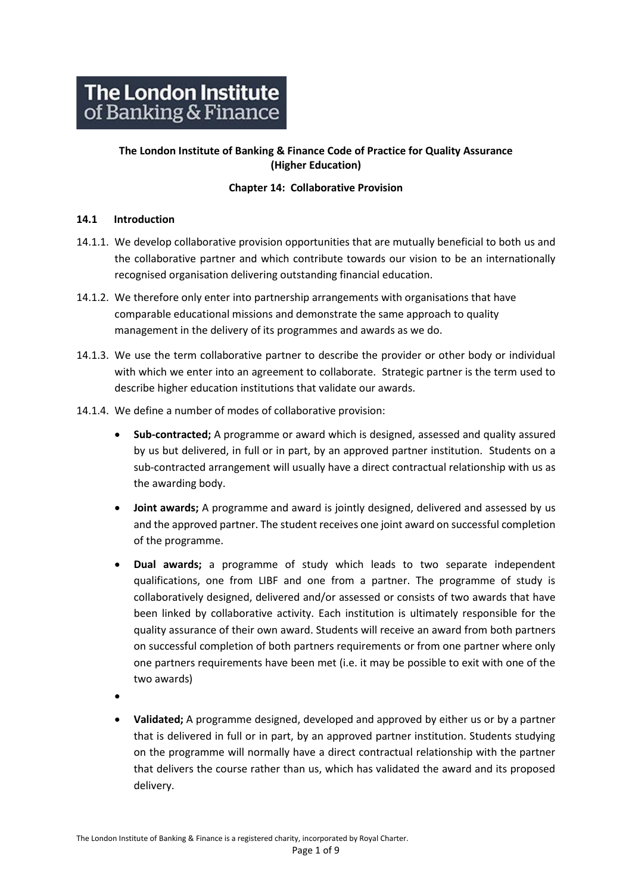# **The London Institute of Banking & Finance Code of Practice for Quality Assurance (Higher Education)**

# **Chapter 14: Collaborative Provision**

## **14.1 Introduction**

- 14.1.1. We develop collaborative provision opportunities that are mutually beneficial to both us and the collaborative partner and which contribute towards our vision to be an internationally recognised organisation delivering outstanding financial education.
- 14.1.2. We therefore only enter into partnership arrangements with organisations that have comparable educational missions and demonstrate the same approach to quality management in the delivery of its programmes and awards as we do.
- 14.1.3. We use the term collaborative partner to describe the provider or other body or individual with which we enter into an agreement to collaborate. Strategic partner is the term used to describe higher education institutions that validate our awards.
- 14.1.4. We define a number of modes of collaborative provision:
	- **Sub-contracted;** A programme or award which is designed, assessed and quality assured by us but delivered, in full or in part, by an approved partner institution. Students on a sub-contracted arrangement will usually have a direct contractual relationship with us as the awarding body.
	- **Joint awards;** A programme and award is jointly designed, delivered and assessed by us and the approved partner. The student receives one joint award on successful completion of the programme.
	- **Dual awards;** a programme of study which leads to two separate independent qualifications, one from LIBF and one from a partner. The programme of study is collaboratively designed, delivered and/or assessed or consists of two awards that have been linked by collaborative activity. Each institution is ultimately responsible for the quality assurance of their own award. Students will receive an award from both partners on successful completion of both partners requirements or from one partner where only one partners requirements have been met (i.e. it may be possible to exit with one of the two awards)
	- •
	- **Validated;** A programme designed, developed and approved by either us or by a partner that is delivered in full or in part, by an approved partner institution. Students studying on the programme will normally have a direct contractual relationship with the partner that delivers the course rather than us, which has validated the award and its proposed delivery.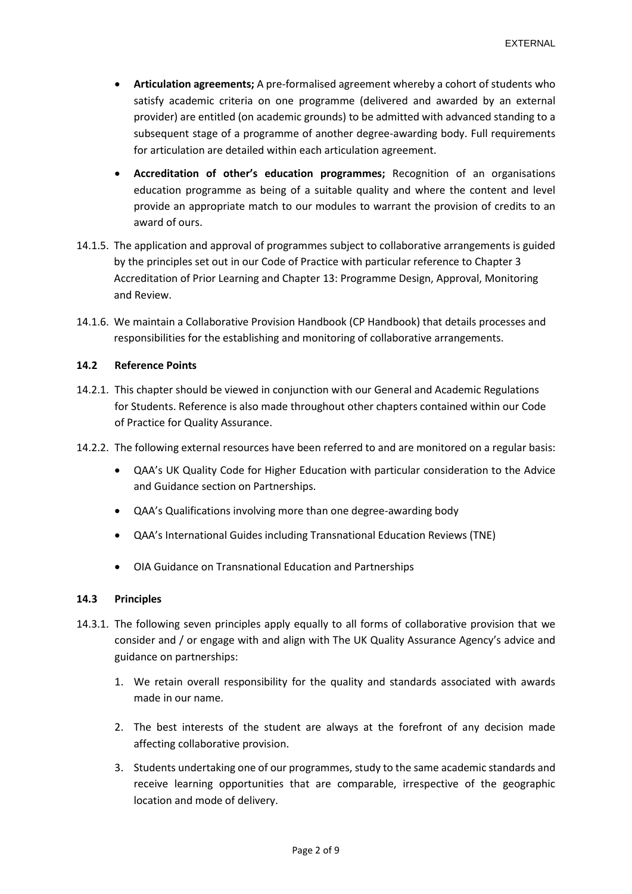- **Articulation agreements;** A pre-formalised agreement whereby a cohort of students who satisfy academic criteria on one programme (delivered and awarded by an external provider) are entitled (on academic grounds) to be admitted with advanced standing to a subsequent stage of a programme of another degree-awarding body. Full requirements for articulation are detailed within each articulation agreement.
- **Accreditation of other's education programmes;** Recognition of an organisations education programme as being of a suitable quality and where the content and level provide an appropriate match to our modules to warrant the provision of credits to an award of ours.
- 14.1.5. The application and approval of programmes subject to collaborative arrangements is guided by the principles set out in our Code of Practice with particular reference to Chapter 3 Accreditation of Prior Learning and Chapter 13: Programme Design, Approval, Monitoring and Review.
- 14.1.6. We maintain a Collaborative Provision Handbook (CP Handbook) that details processes and responsibilities for the establishing and monitoring of collaborative arrangements.

## **14.2 Reference Points**

- 14.2.1. This chapter should be viewed in conjunction with our General and Academic Regulations for Students. Reference is also made throughout other chapters contained within our Code of Practice for Quality Assurance.
- 14.2.2. The following external resources have been referred to and are monitored on a regular basis:
	- QAA's UK Quality Code for Higher Education with particular consideration to the Advice and Guidance section on Partnerships.
	- QAA's Qualifications involving more than one degree-awarding body
	- QAA's International Guides including Transnational Education Reviews (TNE)
	- OIA Guidance on Transnational Education and Partnerships

## **14.3 Principles**

- 14.3.1. The following seven principles apply equally to all forms of collaborative provision that we consider and / or engage with and align with The UK Quality Assurance Agency's advice and guidance on partnerships:
	- 1. We retain overall responsibility for the quality and standards associated with awards made in our name.
	- 2. The best interests of the student are always at the forefront of any decision made affecting collaborative provision.
	- 3. Students undertaking one of our programmes, study to the same academic standards and receive learning opportunities that are comparable, irrespective of the geographic location and mode of delivery.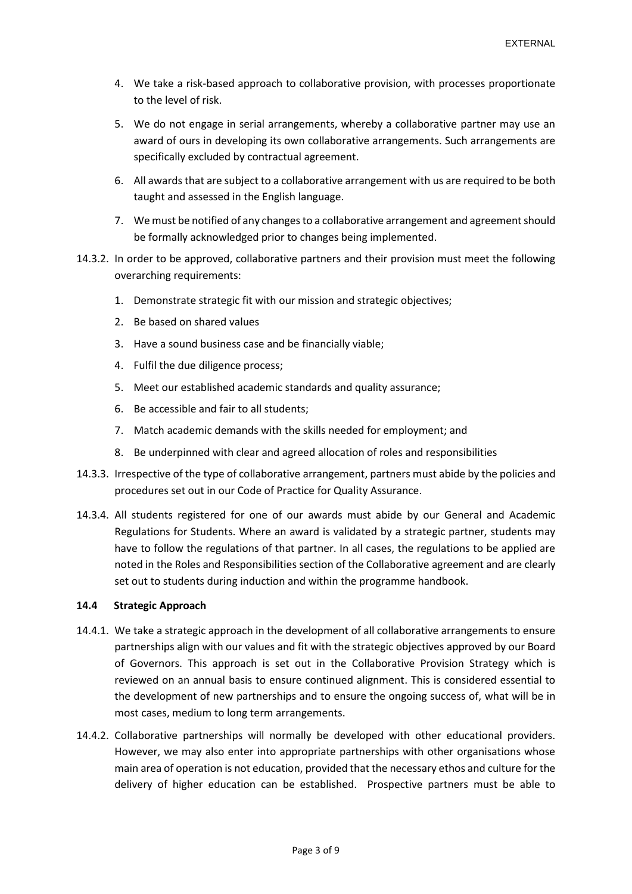- 4. We take a risk-based approach to collaborative provision, with processes proportionate to the level of risk.
- 5. We do not engage in serial arrangements, whereby a collaborative partner may use an award of ours in developing its own collaborative arrangements. Such arrangements are specifically excluded by contractual agreement.
- 6. All awards that are subject to a collaborative arrangement with us are required to be both taught and assessed in the English language.
- 7. We must be notified of any changes to a collaborative arrangement and agreement should be formally acknowledged prior to changes being implemented.
- 14.3.2. In order to be approved, collaborative partners and their provision must meet the following overarching requirements:
	- 1. Demonstrate strategic fit with our mission and strategic objectives;
	- 2. Be based on shared values
	- 3. Have a sound business case and be financially viable;
	- 4. Fulfil the due diligence process;
	- 5. Meet our established academic standards and quality assurance;
	- 6. Be accessible and fair to all students;
	- 7. Match academic demands with the skills needed for employment; and
	- 8. Be underpinned with clear and agreed allocation of roles and responsibilities
- 14.3.3. Irrespective of the type of collaborative arrangement, partners must abide by the policies and procedures set out in our Code of Practice for Quality Assurance.
- 14.3.4. All students registered for one of our awards must abide by our General and Academic Regulations for Students. Where an award is validated by a strategic partner, students may have to follow the regulations of that partner. In all cases, the regulations to be applied are noted in the Roles and Responsibilities section of the Collaborative agreement and are clearly set out to students during induction and within the programme handbook.

#### **14.4 Strategic Approach**

- 14.4.1. We take a strategic approach in the development of all collaborative arrangements to ensure partnerships align with our values and fit with the strategic objectives approved by our Board of Governors. This approach is set out in the Collaborative Provision Strategy which is reviewed on an annual basis to ensure continued alignment. This is considered essential to the development of new partnerships and to ensure the ongoing success of, what will be in most cases, medium to long term arrangements.
- 14.4.2. Collaborative partnerships will normally be developed with other educational providers. However, we may also enter into appropriate partnerships with other organisations whose main area of operation is not education, provided that the necessary ethos and culture for the delivery of higher education can be established. Prospective partners must be able to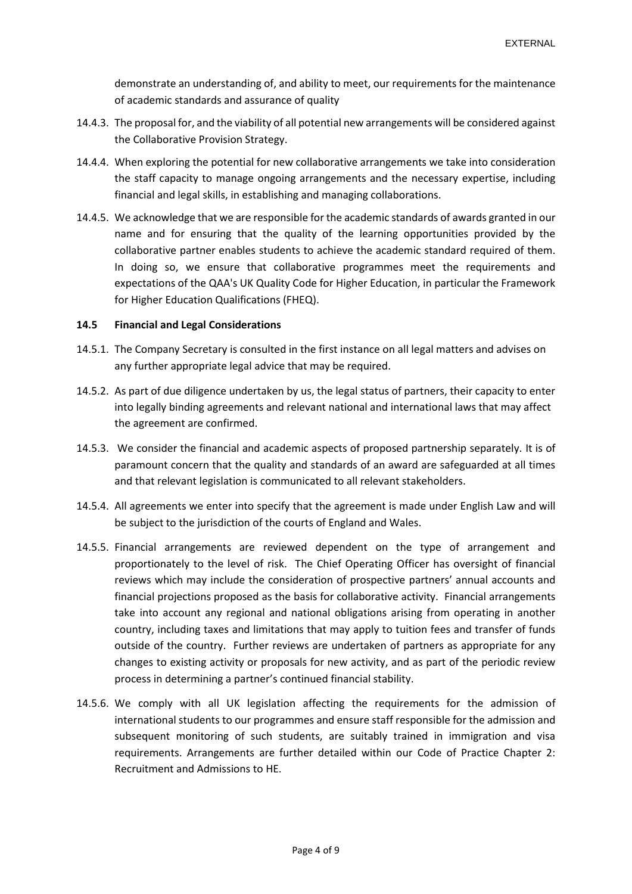demonstrate an understanding of, and ability to meet, our requirements for the maintenance of academic standards and assurance of quality

- 14.4.3. The proposal for, and the viability of all potential new arrangements will be considered against the Collaborative Provision Strategy.
- 14.4.4. When exploring the potential for new collaborative arrangements we take into consideration the staff capacity to manage ongoing arrangements and the necessary expertise, including financial and legal skills, in establishing and managing collaborations.
- 14.4.5. We acknowledge that we are responsible for the academic standards of awards granted in our name and for ensuring that the quality of the learning opportunities provided by the collaborative partner enables students to achieve the academic standard required of them. In doing so, we ensure that collaborative programmes meet the requirements and expectations of the QAA's UK Quality Code for Higher Education, in particular the Framework for Higher Education Qualifications (FHEQ).

#### **14.5 Financial and Legal Considerations**

- 14.5.1. The Company Secretary is consulted in the first instance on all legal matters and advises on any further appropriate legal advice that may be required.
- 14.5.2. As part of due diligence undertaken by us, the legal status of partners, their capacity to enter into legally binding agreements and relevant national and international laws that may affect the agreement are confirmed.
- 14.5.3. We consider the financial and academic aspects of proposed partnership separately. It is of paramount concern that the quality and standards of an award are safeguarded at all times and that relevant legislation is communicated to all relevant stakeholders.
- 14.5.4. All agreements we enter into specify that the agreement is made under English Law and will be subject to the jurisdiction of the courts of England and Wales.
- 14.5.5. Financial arrangements are reviewed dependent on the type of arrangement and proportionately to the level of risk. The Chief Operating Officer has oversight of financial reviews which may include the consideration of prospective partners' annual accounts and financial projections proposed as the basis for collaborative activity. Financial arrangements take into account any regional and national obligations arising from operating in another country, including taxes and limitations that may apply to tuition fees and transfer of funds outside of the country. Further reviews are undertaken of partners as appropriate for any changes to existing activity or proposals for new activity, and as part of the periodic review process in determining a partner's continued financial stability.
- 14.5.6. We comply with all UK legislation affecting the requirements for the admission of international students to our programmes and ensure staff responsible for the admission and subsequent monitoring of such students, are suitably trained in immigration and visa requirements. Arrangements are further detailed within our Code of Practice Chapter 2: Recruitment and Admissions to HE.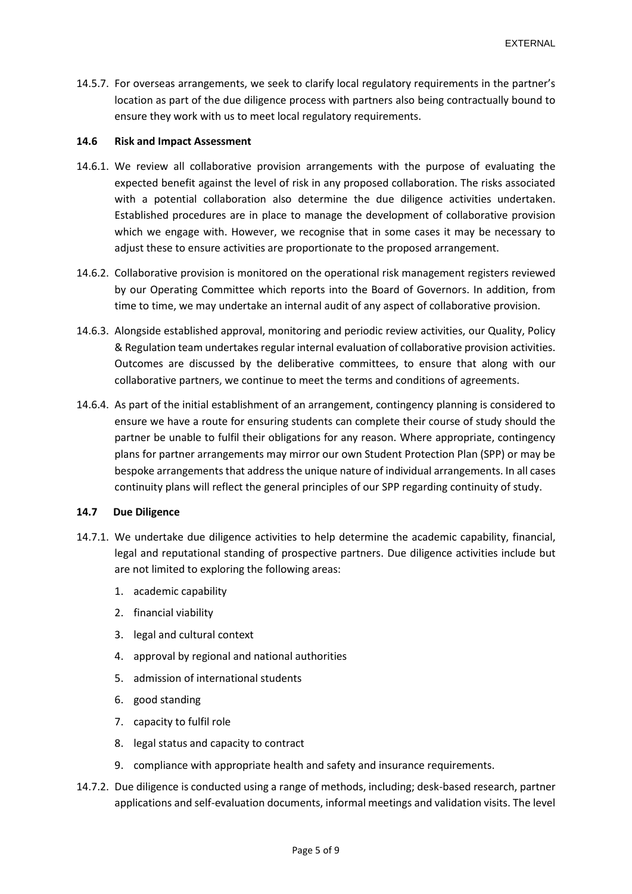14.5.7. For overseas arrangements, we seek to clarify local regulatory requirements in the partner's location as part of the due diligence process with partners also being contractually bound to ensure they work with us to meet local regulatory requirements.

### **14.6 Risk and Impact Assessment**

- 14.6.1. We review all collaborative provision arrangements with the purpose of evaluating the expected benefit against the level of risk in any proposed collaboration. The risks associated with a potential collaboration also determine the due diligence activities undertaken. Established procedures are in place to manage the development of collaborative provision which we engage with. However, we recognise that in some cases it may be necessary to adjust these to ensure activities are proportionate to the proposed arrangement.
- 14.6.2. Collaborative provision is monitored on the operational risk management registers reviewed by our Operating Committee which reports into the Board of Governors. In addition, from time to time, we may undertake an internal audit of any aspect of collaborative provision.
- 14.6.3. Alongside established approval, monitoring and periodic review activities, our Quality, Policy & Regulation team undertakes regular internal evaluation of collaborative provision activities. Outcomes are discussed by the deliberative committees, to ensure that along with our collaborative partners, we continue to meet the terms and conditions of agreements.
- 14.6.4. As part of the initial establishment of an arrangement, contingency planning is considered to ensure we have a route for ensuring students can complete their course of study should the partner be unable to fulfil their obligations for any reason. Where appropriate, contingency plans for partner arrangements may mirror our own Student Protection Plan (SPP) or may be bespoke arrangements that address the unique nature of individual arrangements. In all cases continuity plans will reflect the general principles of our SPP regarding continuity of study.

#### **14.7 Due Diligence**

- 14.7.1. We undertake due diligence activities to help determine the academic capability, financial, legal and reputational standing of prospective partners. Due diligence activities include but are not limited to exploring the following areas:
	- 1. academic capability
	- 2. financial viability
	- 3. legal and cultural context
	- 4. approval by regional and national authorities
	- 5. admission of international students
	- 6. good standing
	- 7. capacity to fulfil role
	- 8. legal status and capacity to contract
	- 9. compliance with appropriate health and safety and insurance requirements.
- 14.7.2. Due diligence is conducted using a range of methods, including; desk-based research, partner applications and self-evaluation documents, informal meetings and validation visits. The level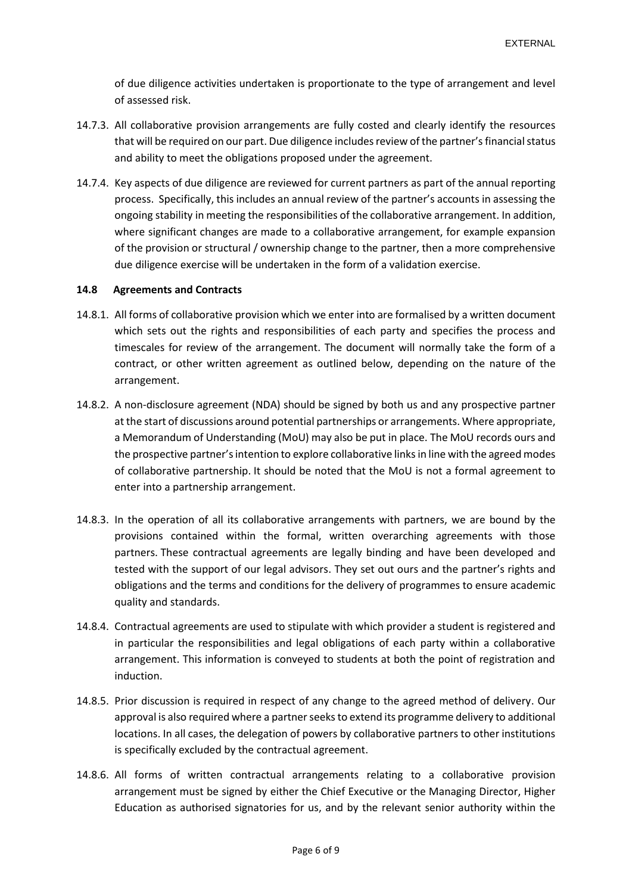of due diligence activities undertaken is proportionate to the type of arrangement and level of assessed risk.

- 14.7.3. All collaborative provision arrangements are fully costed and clearly identify the resources that will be required on our part. Due diligence includesreview of the partner's financial status and ability to meet the obligations proposed under the agreement.
- 14.7.4. Key aspects of due diligence are reviewed for current partners as part of the annual reporting process. Specifically, this includes an annual review of the partner's accounts in assessing the ongoing stability in meeting the responsibilities of the collaborative arrangement. In addition, where significant changes are made to a collaborative arrangement, for example expansion of the provision or structural / ownership change to the partner, then a more comprehensive due diligence exercise will be undertaken in the form of a validation exercise.

### **14.8 Agreements and Contracts**

- 14.8.1. All forms of collaborative provision which we enter into are formalised by a written document which sets out the rights and responsibilities of each party and specifies the process and timescales for review of the arrangement. The document will normally take the form of a contract, or other written agreement as outlined below, depending on the nature of the arrangement.
- 14.8.2. A non-disclosure agreement (NDA) should be signed by both us and any prospective partner at the start of discussions around potential partnerships or arrangements. Where appropriate, a Memorandum of Understanding (MoU) may also be put in place. The MoU records ours and the prospective partner's intention to explore collaborative links in line with the agreed modes of collaborative partnership. It should be noted that the MoU is not a formal agreement to enter into a partnership arrangement.
- 14.8.3. In the operation of all its collaborative arrangements with partners, we are bound by the provisions contained within the formal, written overarching agreements with those partners. These contractual agreements are legally binding and have been developed and tested with the support of our legal advisors. They set out ours and the partner's rights and obligations and the terms and conditions for the delivery of programmes to ensure academic quality and standards.
- 14.8.4. Contractual agreements are used to stipulate with which provider a student is registered and in particular the responsibilities and legal obligations of each party within a collaborative arrangement. This information is conveyed to students at both the point of registration and induction.
- 14.8.5. Prior discussion is required in respect of any change to the agreed method of delivery. Our approval is also required where a partner seeks to extend its programme delivery to additional locations. In all cases, the delegation of powers by collaborative partners to other institutions is specifically excluded by the contractual agreement.
- 14.8.6. All forms of written contractual arrangements relating to a collaborative provision arrangement must be signed by either the Chief Executive or the Managing Director, Higher Education as authorised signatories for us, and by the relevant senior authority within the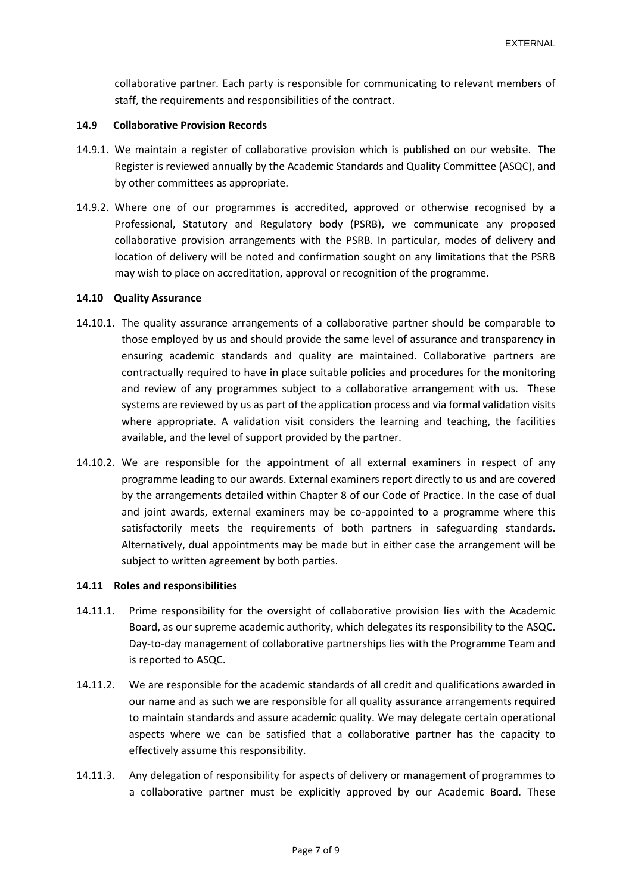collaborative partner. Each party is responsible for communicating to relevant members of staff, the requirements and responsibilities of the contract.

#### **14.9 Collaborative Provision Records**

- 14.9.1. We maintain a register of collaborative provision which is published on our website. The Register is reviewed annually by the Academic Standards and Quality Committee (ASQC), and by other committees as appropriate.
- 14.9.2. Where one of our programmes is accredited, approved or otherwise recognised by a Professional, Statutory and Regulatory body (PSRB), we communicate any proposed collaborative provision arrangements with the PSRB. In particular, modes of delivery and location of delivery will be noted and confirmation sought on any limitations that the PSRB may wish to place on accreditation, approval or recognition of the programme.

#### **14.10 Quality Assurance**

- 14.10.1. The quality assurance arrangements of a collaborative partner should be comparable to those employed by us and should provide the same level of assurance and transparency in ensuring academic standards and quality are maintained. Collaborative partners are contractually required to have in place suitable policies and procedures for the monitoring and review of any programmes subject to a collaborative arrangement with us. These systems are reviewed by us as part of the application process and via formal validation visits where appropriate. A validation visit considers the learning and teaching, the facilities available, and the level of support provided by the partner.
- 14.10.2. We are responsible for the appointment of all external examiners in respect of any programme leading to our awards. External examiners report directly to us and are covered by the arrangements detailed within Chapter 8 of our Code of Practice. In the case of dual and joint awards, external examiners may be co-appointed to a programme where this satisfactorily meets the requirements of both partners in safeguarding standards. Alternatively, dual appointments may be made but in either case the arrangement will be subject to written agreement by both parties.

#### **14.11 Roles and responsibilities**

- 14.11.1. Prime responsibility for the oversight of collaborative provision lies with the Academic Board, as our supreme academic authority, which delegates its responsibility to the ASQC. Day-to-day management of collaborative partnerships lies with the Programme Team and is reported to ASQC.
- 14.11.2. We are responsible for the academic standards of all credit and qualifications awarded in our name and as such we are responsible for all quality assurance arrangements required to maintain standards and assure academic quality. We may delegate certain operational aspects where we can be satisfied that a collaborative partner has the capacity to effectively assume this responsibility.
- 14.11.3. Any delegation of responsibility for aspects of delivery or management of programmes to a collaborative partner must be explicitly approved by our Academic Board. These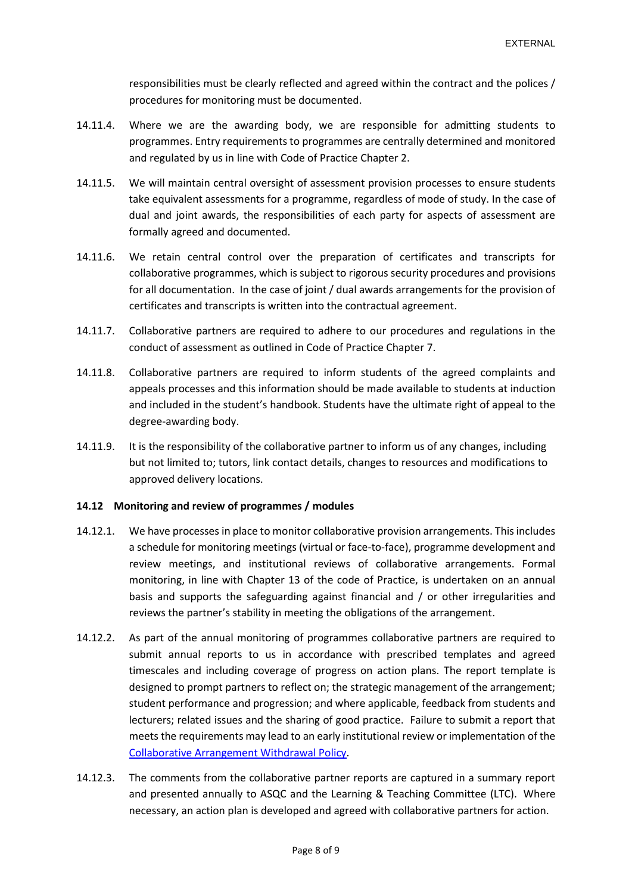responsibilities must be clearly reflected and agreed within the contract and the polices / procedures for monitoring must be documented.

- 14.11.4. Where we are the awarding body, we are responsible for admitting students to programmes. Entry requirements to programmes are centrally determined and monitored and regulated by us in line with Code of Practice Chapter 2.
- 14.11.5. We will maintain central oversight of assessment provision processes to ensure students take equivalent assessments for a programme, regardless of mode of study. In the case of dual and joint awards, the responsibilities of each party for aspects of assessment are formally agreed and documented.
- 14.11.6. We retain central control over the preparation of certificates and transcripts for collaborative programmes, which is subject to rigorous security procedures and provisions for all documentation. In the case of joint / dual awards arrangements for the provision of certificates and transcripts is written into the contractual agreement.
- 14.11.7. Collaborative partners are required to adhere to our procedures and regulations in the conduct of assessment as outlined in Code of Practice Chapter 7.
- 14.11.8. Collaborative partners are required to inform students of the agreed complaints and appeals processes and this information should be made available to students at induction and included in the student's handbook. Students have the ultimate right of appeal to the degree-awarding body.
- 14.11.9. It is the responsibility of the collaborative partner to inform us of any changes, including but not limited to; tutors, link contact details, changes to resources and modifications to approved delivery locations.

## **14.12 Monitoring and review of programmes / modules**

- 14.12.1. We have processes in place to monitor collaborative provision arrangements. This includes a schedule for monitoring meetings (virtual or face-to-face), programme development and review meetings, and institutional reviews of collaborative arrangements. Formal monitoring, in line with Chapter 13 of the code of Practice, is undertaken on an annual basis and supports the safeguarding against financial and / or other irregularities and reviews the partner's stability in meeting the obligations of the arrangement.
- 14.12.2. As part of the annual monitoring of programmes collaborative partners are required to submit annual reports to us in accordance with prescribed templates and agreed timescales and including coverage of progress on action plans. The report template is designed to prompt partners to reflect on; the strategic management of the arrangement; student performance and progression; and where applicable, feedback from students and lecturers; related issues and the sharing of good practice. Failure to submit a report that meets the requirements may lead to an early institutional review or implementation of the [Collaborative Arrangement Withdrawal Policy.](http://www.libf.ac.uk/docs/default-source/HE/HE-Policies/he-collaborative-arrangement-withdrawal-policy.pdf?sfvrsn=2)
- 14.12.3. The comments from the collaborative partner reports are captured in a summary report and presented annually to ASQC and the Learning & Teaching Committee (LTC). Where necessary, an action plan is developed and agreed with collaborative partners for action.